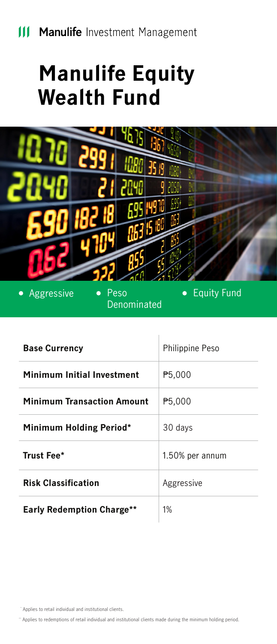## **Manulife Equity Wealth Fund**



• Aggressive • Peso

Denominated

**•** Equity Fund

| <b>Base Currency</b>              | <b>Philippine Peso</b> |
|-----------------------------------|------------------------|
| Minimum Initial Investment        | P5,000                 |
| <b>Minimum Transaction Amount</b> | ₱5,000                 |
| Minimum Holding Period*           | 30 days                |
| Trust Fee*                        | 1.50% per annum        |
| <b>Risk Classification</b>        | Aggressive             |
| <b>Early Redemption Charge**</b>  | 1%                     |

\* Applies to retail individual and institutional clients.

\*\* Applies to redemptions of retail individual and institutional clients made during the minimum holding period.